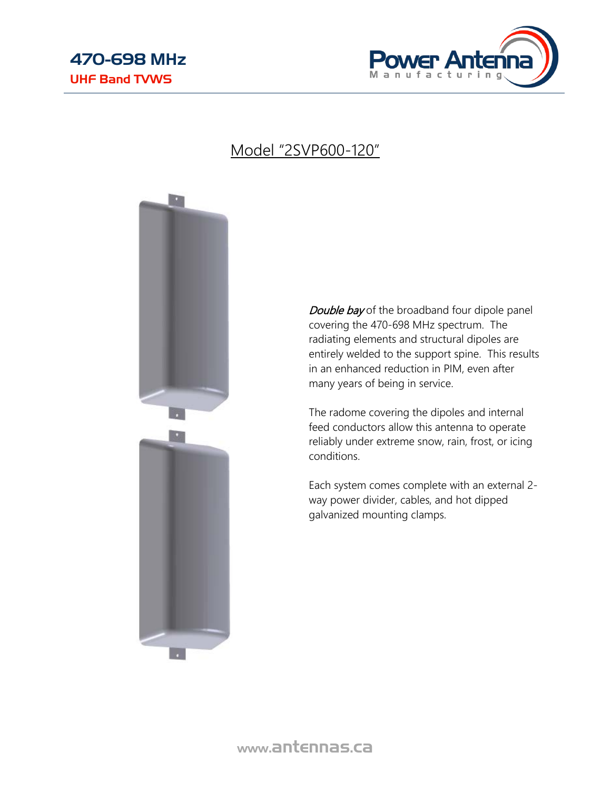

## Model "2SVP600-120"



Double bay of the broadband four dipole panel covering the 470-698 MHz spectrum. The radiating elements and structural dipoles are entirely welded to the support spine. This results in an enhanced reduction in PIM, even after many years of being in service.

The radome covering the dipoles and internal feed conductors allow this antenna to operate reliably under extreme snow, rain, frost, or icing conditions.

Each system comes complete with an external 2 way power divider, cables, and hot dipped galvanized mounting clamps.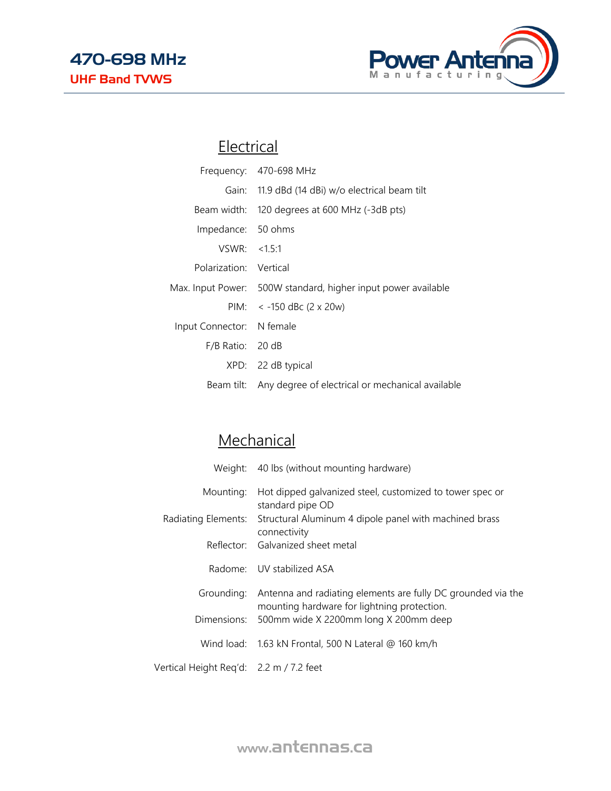

## **Electrical**

|                           | Frequency: 470-698 MHz                                        |
|---------------------------|---------------------------------------------------------------|
|                           | Gain: 11.9 dBd (14 dBi) w/o electrical beam tilt              |
|                           | Beam width: 120 degrees at 600 MHz (-3dB pts)                 |
| Impedance: 50 ohms        |                                                               |
| VSWR: < 1.5:1             |                                                               |
| Polarization: Vertical    |                                                               |
|                           | Max. Input Power: 500W standard, higher input power available |
|                           | PIM: $<$ -150 dBc (2 x 20w)                                   |
| Input Connector: N female |                                                               |
| $F/B$ Ratio: 20 dB        |                                                               |
|                           | XPD: 22 dB typical                                            |
|                           | Beam tilt: Any degree of electrical or mechanical available   |

## **Mechanical**

|                                         | Weight: 40 lbs (without mounting hardware)                                                                  |
|-----------------------------------------|-------------------------------------------------------------------------------------------------------------|
| Mounting:                               | Hot dipped galvanized steel, customized to tower spec or<br>standard pipe OD                                |
| Radiating Elements:                     | Structural Aluminum 4 dipole panel with machined brass<br>connectivity                                      |
|                                         | Reflector: Galvanized sheet metal                                                                           |
|                                         | Radome: UV stabilized ASA                                                                                   |
| Grounding:                              | Antenna and radiating elements are fully DC grounded via the<br>mounting hardware for lightning protection. |
|                                         | Dimensions: 500mm wide X 2200mm long X 200mm deep                                                           |
|                                         | Wind load: 1.63 kN Frontal, 500 N Lateral @ 160 km/h                                                        |
| Vertical Height Reg'd: 2.2 m / 7.2 feet |                                                                                                             |

www.antennas.ca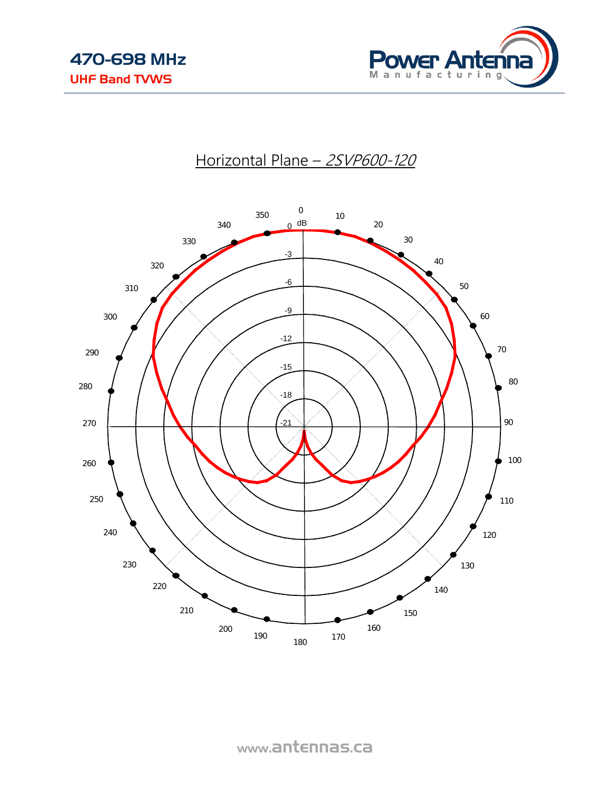